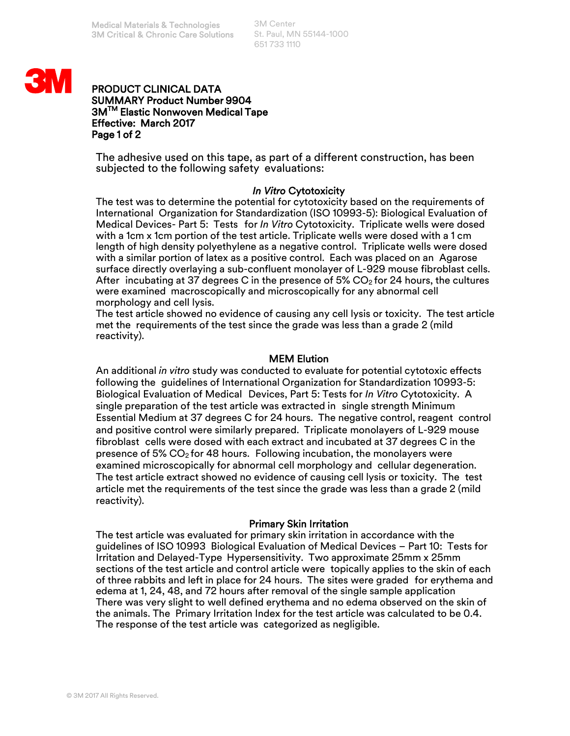3M Center St. Paul, MN 55144-1000 651 733 1110



# PRODUCT CLINICAL DATA SUMMARY Product Number 9904 3MTM Elastic Nonwoven Medical Tape Effective: March 2017 Page 1 of 2

The adhesive used on this tape, as part of a different construction, has been subjected to the following safety evaluations:

# *In Vitro* Cytotoxicity

The test was to determine the potential for cytotoxicity based on the requirements of International Organization for Standardization (ISO 10993-5): Biological Evaluation of Medical Devices- Part 5: Tests for *In Vitro* Cytotoxicity. Triplicate wells were dosed with a 1cm x 1cm portion of the test article. Triplicate wells were dosed with a 1 cm length of high density polyethylene as a negative control. Triplicate wells were dosed with a similar portion of latex as a positive control. Each was placed on an Agarose surface directly overlaying a sub-confluent monolayer of L-929 mouse fibroblast cells. After incubating at 37 degrees C in the presence of 5%  $CO<sub>2</sub>$  for 24 hours, the cultures were examined macroscopically and microscopically for any abnormal cell morphology and cell lysis.

The test article showed no evidence of causing any cell lysis or toxicity. The test article met the requirements of the test since the grade was less than a grade 2 (mild reactivity).

# MEM Elution

An additional *in vitro* study was conducted to evaluate for potential cytotoxic effects following the guidelines of International Organization for Standardization 10993-5: Biological Evaluation of Medical Devices, Part 5: Tests for *In Vitro* Cytotoxicity. A single preparation of the test article was extracted in single strength Minimum Essential Medium at 37 degrees C for 24 hours. The negative control, reagent control and positive control were similarly prepared. Triplicate monolayers of L-929 mouse fibroblast cells were dosed with each extract and incubated at 37 degrees C in the presence of 5% CO<sub>2</sub> for 48 hours. Following incubation, the monolayers were examined microscopically for abnormal cell morphology and cellular degeneration. The test article extract showed no evidence of causing cell lysis or toxicity. The test article met the requirements of the test since the grade was less than a grade 2 (mild reactivity).

### Primary Skin Irritation

The test article was evaluated for primary skin irritation in accordance with the guidelines of ISO 10993 Biological Evaluation of Medical Devices – Part 10: Tests for Irritation and Delayed-Type Hypersensitivity. Two approximate 25mm x 25mm sections of the test article and control article were topically applies to the skin of each of three rabbits and left in place for 24 hours. The sites were graded for erythema and edema at 1, 24, 48, and 72 hours after removal of the single sample application There was very slight to well defined erythema and no edema observed on the skin of the animals. The Primary Irritation Index for the test article was calculated to be 0.4. The response of the test article was categorized as negligible.